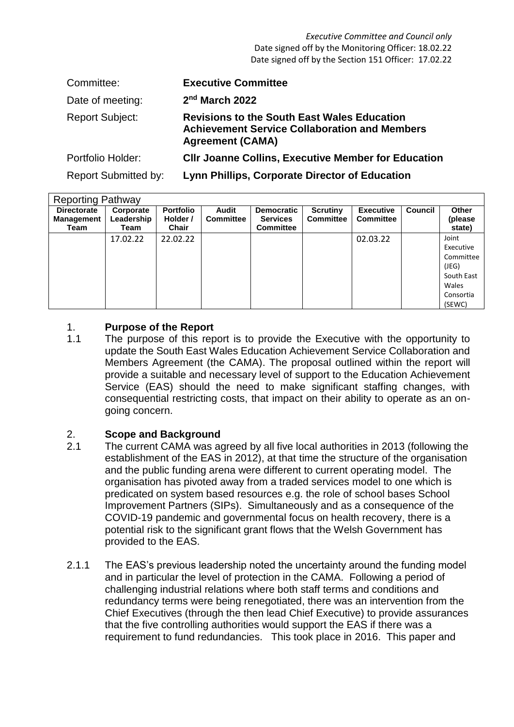*Executive Committee and Council only* Date signed off by the Monitoring Officer: 18.02.22 Date signed off by the Section 151 Officer: 17.02.22

| Committee:                  | <b>Executive Committee</b>                                                                                                            |
|-----------------------------|---------------------------------------------------------------------------------------------------------------------------------------|
| Date of meeting:            | 2 <sup>nd</sup> March 2022                                                                                                            |
| <b>Report Subject:</b>      | <b>Revisions to the South East Wales Education</b><br><b>Achievement Service Collaboration and Members</b><br><b>Agreement (CAMA)</b> |
| Portfolio Holder:           | <b>CIIr Joanne Collins, Executive Member for Education</b>                                                                            |
| <b>Report Submitted by:</b> | Lynn Phillips, Corporate Director of Education                                                                                        |

| <b>Reporting Pathway</b>                        |                                 |                                |                           |                                                          |                                     |                                      |                |                                                                                        |  |  |  |
|-------------------------------------------------|---------------------------------|--------------------------------|---------------------------|----------------------------------------------------------|-------------------------------------|--------------------------------------|----------------|----------------------------------------------------------------------------------------|--|--|--|
| <b>Directorate</b><br><b>Management</b><br>Team | Corporate<br>Leadership<br>Team | Portfolio<br>Holder /<br>Chair | Audit<br><b>Committee</b> | <b>Democratic</b><br><b>Services</b><br><b>Committee</b> | <b>Scrutiny</b><br><b>Committee</b> | <b>Executive</b><br><b>Committee</b> | <b>Council</b> | Other<br>(please<br>state)                                                             |  |  |  |
|                                                 | 17.02.22                        | 22.02.22                       |                           |                                                          |                                     | 02.03.22                             |                | Joint<br>Executive<br>Committee<br>(JEG)<br>South East<br>Wales<br>Consortia<br>(SEWC) |  |  |  |

#### 1. **Purpose of the Report**

1.1 The purpose of this report is to provide the Executive with the opportunity to update the South East Wales Education Achievement Service Collaboration and Members Agreement (the CAMA). The proposal outlined within the report will provide a suitable and necessary level of support to the Education Achievement Service (EAS) should the need to make significant staffing changes, with consequential restricting costs, that impact on their ability to operate as an ongoing concern.

#### 2. **Scope and Background**

- 2.1 The current CAMA was agreed by all five local authorities in 2013 (following the establishment of the EAS in 2012), at that time the structure of the organisation and the public funding arena were different to current operating model. The organisation has pivoted away from a traded services model to one which is predicated on system based resources e.g. the role of school bases School Improvement Partners (SIPs). Simultaneously and as a consequence of the COVID-19 pandemic and governmental focus on health recovery, there is a potential risk to the significant grant flows that the Welsh Government has provided to the EAS.
- 2.1.1 The EAS's previous leadership noted the uncertainty around the funding model and in particular the level of protection in the CAMA. Following a period of challenging industrial relations where both staff terms and conditions and redundancy terms were being renegotiated, there was an intervention from the Chief Executives (through the then lead Chief Executive) to provide assurances that the five controlling authorities would support the EAS if there was a requirement to fund redundancies. This took place in 2016. This paper and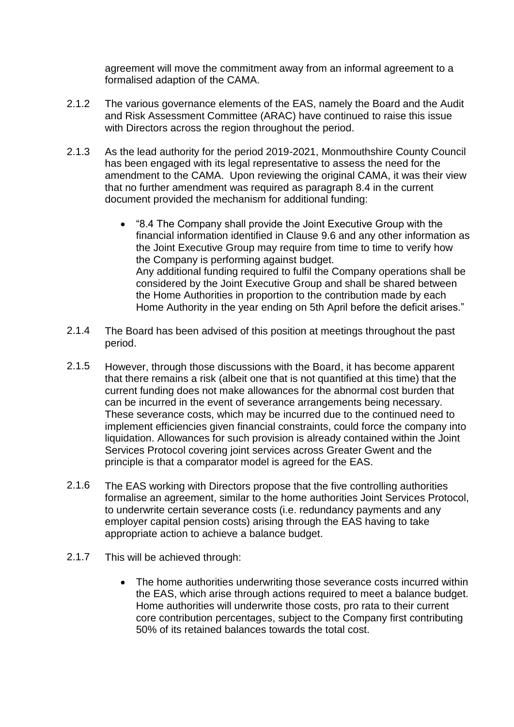agreement will move the commitment away from an informal agreement to a formalised adaption of the CAMA.

- 2.1.2 The various governance elements of the EAS, namely the Board and the Audit and Risk Assessment Committee (ARAC) have continued to raise this issue with Directors across the region throughout the period.
- 2.1.3 As the lead authority for the period 2019-2021, Monmouthshire County Council has been engaged with its legal representative to assess the need for the amendment to the CAMA. Upon reviewing the original CAMA, it was their view that no further amendment was required as paragraph 8.4 in the current document provided the mechanism for additional funding:
	- "8.4 The Company shall provide the Joint Executive Group with the financial information identified in Clause 9.6 and any other information as the Joint Executive Group may require from time to time to verify how the Company is performing against budget. Any additional funding required to fulfil the Company operations shall be considered by the Joint Executive Group and shall be shared between the Home Authorities in proportion to the contribution made by each Home Authority in the year ending on 5th April before the deficit arises."
- 2.1.4 The Board has been advised of this position at meetings throughout the past period.
- 2.1.5 However, through those discussions with the Board, it has become apparent that there remains a risk (albeit one that is not quantified at this time) that the current funding does not make allowances for the abnormal cost burden that can be incurred in the event of severance arrangements being necessary. These severance costs, which may be incurred due to the continued need to implement efficiencies given financial constraints, could force the company into liquidation. Allowances for such provision is already contained within the Joint Services Protocol covering joint services across Greater Gwent and the principle is that a comparator model is agreed for the EAS.
- 2.1.6 The EAS working with Directors propose that the five controlling authorities formalise an agreement, similar to the home authorities Joint Services Protocol, to underwrite certain severance costs (i.e. redundancy payments and any employer capital pension costs) arising through the EAS having to take appropriate action to achieve a balance budget.
- 2.1.7 This will be achieved through:
	- The home authorities underwriting those severance costs incurred within the EAS, which arise through actions required to meet a balance budget. Home authorities will underwrite those costs, pro rata to their current core contribution percentages, subject to the Company first contributing 50% of its retained balances towards the total cost.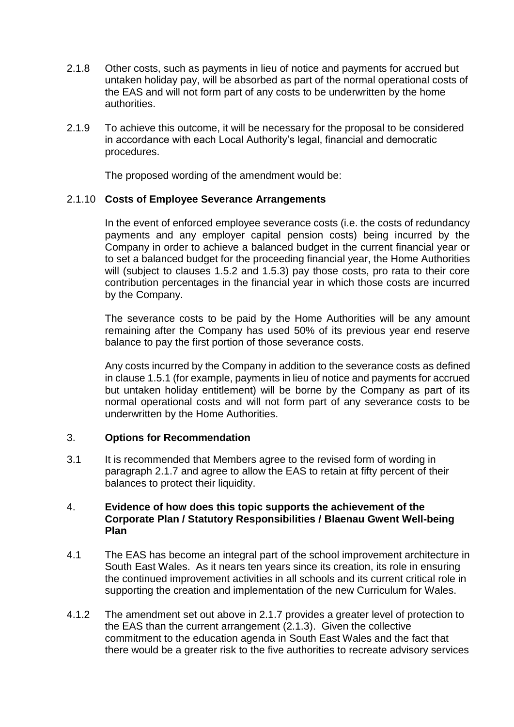- 2.1.8 Other costs, such as payments in lieu of notice and payments for accrued but untaken holiday pay, will be absorbed as part of the normal operational costs of the EAS and will not form part of any costs to be underwritten by the home authorities.
- 2.1.9 To achieve this outcome, it will be necessary for the proposal to be considered in accordance with each Local Authority's legal, financial and democratic procedures.

The proposed wording of the amendment would be:

#### 2.1.10 **Costs of Employee Severance Arrangements**

In the event of enforced employee severance costs (i.e. the costs of redundancy payments and any employer capital pension costs) being incurred by the Company in order to achieve a balanced budget in the current financial year or to set a balanced budget for the proceeding financial year, the Home Authorities will (subject to clauses 1.5.2 and 1.5.3) pay those costs, pro rata to their core contribution percentages in the financial year in which those costs are incurred by the Company.

The severance costs to be paid by the Home Authorities will be any amount remaining after the Company has used 50% of its previous year end reserve balance to pay the first portion of those severance costs.

Any costs incurred by the Company in addition to the severance costs as defined in clause 1.5.1 (for example, payments in lieu of notice and payments for accrued but untaken holiday entitlement) will be borne by the Company as part of its normal operational costs and will not form part of any severance costs to be underwritten by the Home Authorities.

#### 3. **Options for Recommendation**

3.1 It is recommended that Members agree to the revised form of wording in paragraph 2.1.7 and agree to allow the EAS to retain at fifty percent of their balances to protect their liquidity.

#### 4. **Evidence of how does this topic supports the achievement of the Corporate Plan / Statutory Responsibilities / Blaenau Gwent Well-being Plan**

- 4.1 The EAS has become an integral part of the school improvement architecture in South East Wales. As it nears ten years since its creation, its role in ensuring the continued improvement activities in all schools and its current critical role in supporting the creation and implementation of the new Curriculum for Wales.
- 4.1.2 The amendment set out above in 2.1.7 provides a greater level of protection to the EAS than the current arrangement (2.1.3). Given the collective commitment to the education agenda in South East Wales and the fact that there would be a greater risk to the five authorities to recreate advisory services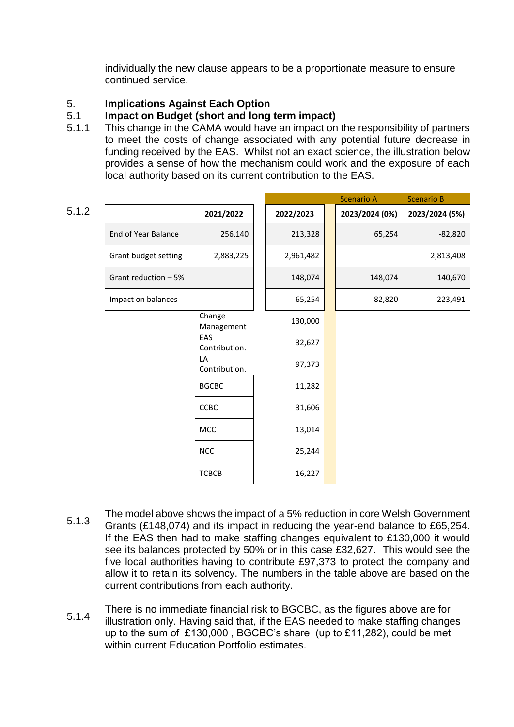individually the new clause appears to be a proportionate measure to ensure continued service.

# 5. **Implications Against Each Option**

#### 5.1 **Impact on Budget (short and long term impact)**

5.1.1 This change in the CAMA would have an impact on the responsibility of partners to meet the costs of change associated with any potential future decrease in funding received by the EAS. Whilst not an exact science, the illustration below provides a sense of how the mechanism could work and the exposure of each local authority based on its current contribution to the EAS.

|                      |                      |           | <b>Scenario A</b> | <b>Scenario B</b> |
|----------------------|----------------------|-----------|-------------------|-------------------|
| 5.1.2                | 2021/2022            | 2022/2023 | 2023/2024 (0%)    | 2023/2024 (5%)    |
| End of Year Balance  | 256,140              | 213,328   | 65,254            | $-82,820$         |
| Grant budget setting | 2,883,225            | 2,961,482 |                   | 2,813,408         |
| Grant reduction - 5% |                      | 148,074   | 148,074           | 140,670           |
| Impact on balances   |                      | 65,254    | $-82,820$         | $-223,491$        |
|                      | Change<br>Management | 130,000   |                   |                   |
|                      | EAS<br>Contribution. | 32,627    |                   |                   |
|                      | LA<br>Contribution.  | 97,373    |                   |                   |
|                      | <b>BGCBC</b>         | 11,282    |                   |                   |
|                      | CCBC                 | 31,606    |                   |                   |
|                      | MCC                  | 13,014    |                   |                   |
|                      | <b>NCC</b>           | 25,244    |                   |                   |
|                      | <b>TCBCB</b>         | 16,227    |                   |                   |

- 5.1.3 The model above shows the impact of a 5% reduction in core Welsh Government Grants (£148,074) and its impact in reducing the year-end balance to £65,254. If the EAS then had to make staffing changes equivalent to £130,000 it would see its balances protected by 50% or in this case £32,627. This would see the five local authorities having to contribute £97,373 to protect the company and allow it to retain its solvency. The numbers in the table above are based on the current contributions from each authority.
- 5.1.4 There is no immediate financial risk to BGCBC, as the figures above are for illustration only. Having said that, if the EAS needed to make staffing changes up to the sum of £130,000 , BGCBC's share (up to £11,282), could be met within current Education Portfolio estimates.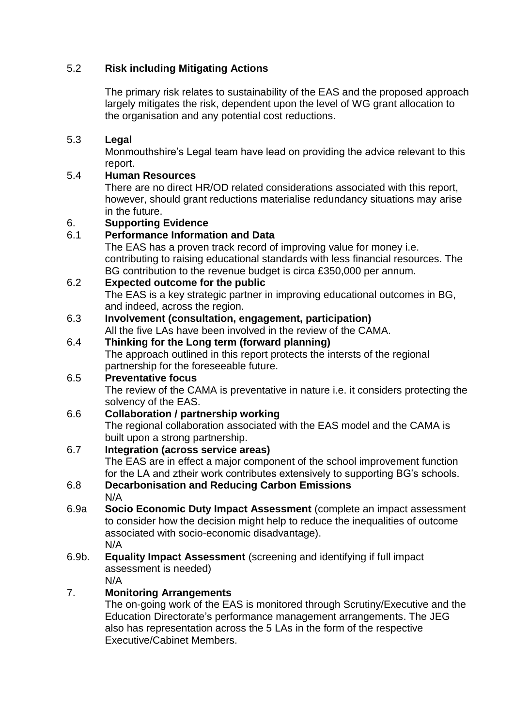# 5.2 **Risk including Mitigating Actions**

The primary risk relates to sustainability of the EAS and the proposed approach largely mitigates the risk, dependent upon the level of WG grant allocation to the organisation and any potential cost reductions.

#### 5.3 **Legal**

Monmouthshire's Legal team have lead on providing the advice relevant to this report.

#### 5.4 **Human Resources**

There are no direct HR/OD related considerations associated with this report, however, should grant reductions materialise redundancy situations may arise in the future.

# 6. **Supporting Evidence**

#### 6.1 **Performance Information and Data**

The EAS has a proven track record of improving value for money i.e. contributing to raising educational standards with less financial resources. The BG contribution to the revenue budget is circa £350,000 per annum.

# 6.2 **Expected outcome for the public**

The EAS is a key strategic partner in improving educational outcomes in BG, and indeed, across the region.

# 6.3 **Involvement (consultation, engagement, participation)**

All the five LAs have been involved in the review of the CAMA.

6.4 **Thinking for the Long term (forward planning)**  The approach outlined in this report protects the intersts of the regional partnership for the foreseeable future.

#### 6.5 **Preventative focus**  The review of the CAMA is preventative in nature i.e. it considers protecting the solvency of the EAS.

# 6.6 **Collaboration / partnership working**

The regional collaboration associated with the EAS model and the CAMA is built upon a strong partnership.

# 6.7 **Integration (across service areas)**

The EAS are in effect a major component of the school improvement function for the LA and ztheir work contributes extensively to supporting BG's schools.

#### 6.8 **Decarbonisation and Reducing Carbon Emissions** N/A

6.9a **Socio Economic Duty Impact Assessment** (complete an impact assessment to consider how the decision might help to reduce the inequalities of outcome associated with socio-economic disadvantage). N/A

#### 6.9b. **Equality Impact Assessment** (screening and identifying if full impact assessment is needed) N/A

# 7. **Monitoring Arrangements**

The on-going work of the EAS is monitored through Scrutiny/Executive and the Education Directorate's performance management arrangements. The JEG also has representation across the 5 LAs in the form of the respective Executive/Cabinet Members.